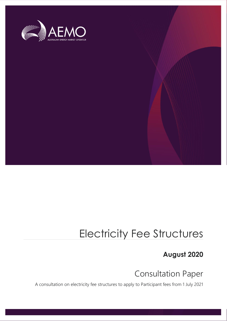

## Electricity Fee Structures

**August 2020**

Consultation Paper

A consultation on electricity fee structures to apply to Participant fees from 1 July 2021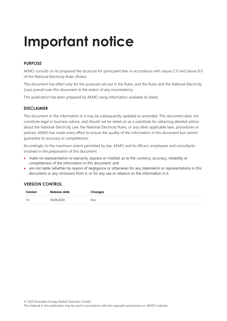# **Important notice**

## **PURPOSE**

AEMO consults on its proposed fee structure for participant fees in accordance with clause 2.11 and clause 8.9 of the National Electricity Rules (Rules).

This document has effect only for the purposes set out in the Rules, and the Rules and the National Electricity (Law) prevail over this document to the extent of any inconsistency.

This publication has been prepared by AEMO using information available at [date].

## **DISCLAIMER**

This document or the information in it may be subsequently updated or amended. This document does not constitute legal or business advice, and should not be relied on as a substitute for obtaining detailed advice about the National Electricity Law, the National Electricity Rules, or any other applicable laws, procedures or policies. AEMO has made every effort to ensure the quality of the information in this document but cannot guarantee its accuracy or completeness.

Accordingly, to the maximum extent permitted by law, AEMO and its officers, employees and consultants involved in the preparation of this document:

- make no representation or warranty, express or implied, as to the currency, accuracy, reliability or completeness of the information in this document; and
- are not liable (whether by reason of negligence or otherwise) for any statements or representations in this document, or any omissions from it, or for any use or reliance on the information in it.

## **VERSION CONTROL**

| Version | Release date | Changes |
|---------|--------------|---------|
| 1.0     | 18/08/2020   | N/a     |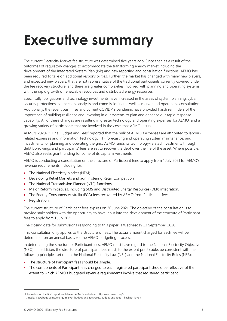# <span id="page-2-0"></span>**Executive summary**

The current Electricity Market fee structure was determined five years ago. Since then as a result of the outcomes of regulatory changes to accommodate the transforming energy market including the development of the Integrated System Plan (ISP) and new reporting and consultation functions, AEMO has been required to take on additional responsibilities. Further, the market has changed with many new players, and expected new players, that are not representative of the traditional participants currently covered under the fee recovery structure, and there are greater complexities involved with planning and operating systems with the rapid growth of renewable resources and distributed energy resources.

Specifically, obligations and technology investments have increased in the areas of system planning, cyber security protections, connections analysis and commissioning as well as market and operations consultation. Additionally, the recent bush fires and current COVID-19 pandemic have provided harsh reminders of the importance of building resilience and investing in our systems to plan and enhance our rapid response capability. All of these changes are resulting in greater technology and operating expenses for AEMO, and a growing variety of participants that are involved in the costs that AEMO incurs.

AEMO's 2020-21 Final Budget and Fees<sup>1</sup> reported that the bulk of AEMO's expenses are attributed to labourrelated expenses and Information Technology (IT), forecasting and operating system maintenance, and investments for planning and operating the grid. AEMO funds its technology-related investments through debt borrowings and participants' fees are set to recover the debt over the life of the asset. Where possible, AEMO also seeks grant funding for some of its capital investments.

AEMO is conducting a consultation on the structure of Participant fees to apply from 1 July 2021 for AEMO's revenue requirements including for:

- The National Electricity Market (NEM).
- Developing Retail Markets and administering Retail Competition.
- The National Transmission Planner (NTP) functions.
- Major Reform Initiatives, including 5MS and Distributed Energy Resources (DER) integration.
- The Energy Consumers Australia (ECA) fees recovered by AEMO from Participant fees.
- Registration.

The current structure of Participant fees expires on 30 June 2021. The objective of the consultation is to provide stakeholders with the opportunity to have input into the development of the structure of Participant fees to apply from 1 July 2021.

The closing date for submissions responding to this paper is Wednesday 23 September 2020.

This consultation only applies to the structure of fees. The actual amount charged for each fee will be determined on an annual basis, via the AEMO budgeting process.

In determining the structure of Participant fees, AEMO must have regard to the National Electricity Objective (NEO). In addition, the structure of participant fees must, to the extent practicable, be consistent with the following principles set out in the National Electricity Law (NEL) and the National Electricity Rules (NER):

- The structure of Participant fees should be simple.
- The components of Participant fees charged to each registered participant should be reflective of the extent to which AEMO's budgeted revenue requirements involve that registered participant.

<sup>&</sup>lt;sup>1</sup> Information on the final report available on AEMO's website at: https://aemo.com.au/-

<sup>/</sup>media/files/about\_aemo/energy\_market\_budget\_and\_fees/2020/budget-and-fees---final.pdf?la=en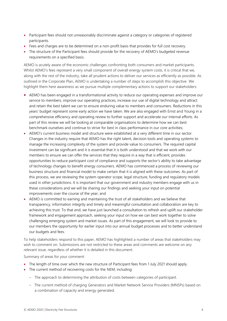- Participant fees should not unreasonably discriminate against a category or categories of registered participants.
- Fees and charges are to be determined on a non-profit basis that provides for full cost recovery.
- The structure of the Participant fees should provide for the recovery of AEMO's budgeted revenue requirements on a specified basis.

AEMO is acutely aware of the economic challenges confronting both consumers and market participants. Whilst AEMO's fees represent a very small component of overall energy system costs, it is critical that we, along with the rest of the industry, take all prudent actions to deliver our services as efficiently as possible. As outlined in the Corporate Plan, AEMO is undertaking a number of steps to accomplish this objective. We highlight them here awareness as we pursue multiple complementary actions to support our stakeholders:

- AEMO has been engaged in a transformational activity to reduce our operating expenses and improve our service to members, improve our operating practices, increase our use of digital technology and attract and retain the best talent we can to ensure enduring value to members and consumers. Reductions in this years' budget represent some early action we have taken. We are also engaged with Ernst and Young in a comprehensive efficiency and operating review to further support and accelerate our internal efforts. As part of this review we will be looking at comparable organisations to determine how we can best benchmark ourselves and continue to strive for best in class performance in our core activities;
- AEMO's current business model and structure were established at a very different time in our sector. Changes in the industry require that AEMO has the right talent, decision tools and operating systems to manage the increasing complexity of the system and provide value to consumers. The required capital investment can be significant and it is essential that it is both understood and that we work with our members to ensure we can offer the services that they require in a way that is efficient, provides opportunities to reduce participant cost of compliance and supports the sector's ability to take advantage of technology changes to benefit energy consumers. AEMO has commenced a process of reviewing our business structure and financial model to make certain that it is aligned with these outcomes. As part of this process, we are reviewing the system operator scope, legal structure, funding and regulatory models used in other jurisdictions. It is important that our government and industry members engage with us in these considerations and we will be sharing our findings and seeking your input on potential improvements over the course of the year; and
- AEMO is committed to earning and maintaining the trust of all stakeholders and we believe that transparency, information integrity and timely and meaningful consultation and collaboration are key to achieving this trust. To that end, we have just launched a consultation to refresh and uplift our stakeholder framework and engagement approach, seeking your input on how we can best work together to solve challenging emerging system and market issues. As part of this engagement, we will look to provide to our members the opportunity for earlier input into our annual budget processes and to better understand our budgets and fees.

To help stakeholders respond to this paper, AEMO has highlighted a number of areas that stakeholders may wish to comment on. Submissions are not restricted to these areas and comments are welcome on any relevant issue, regardless of whether it is detailed in this document.

Summary of areas for your comment:

- The length of time over which the new structure of Participant fees from 1 July 2021 should apply.
- The current method of recovering costs for the NEM, including:
	- The approach to determining the attribution of costs between categories of participant.
	- The current method of charging Generators and Market Network Service Providers (MNSPs) based on a combination of capacity and energy generated.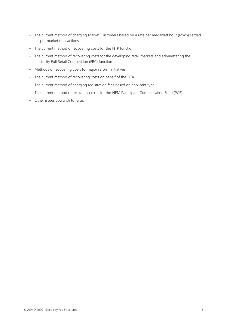- The current method of charging Market Customers based on a rate per megawatt hour (MWh) settled in spot market transactions.
- The current method of recovering costs for the NTP function.
- The current method of recovering costs for the developing retail markets and administering the electricity Full Retail Competition (FRC) function
- Methods of recovering costs for major reform initiatives.
- The current method of recovering costs on behalf of the ECA.
- The current method of charging registration fees based on applicant type.
- The current method of recovering costs for the NEM Participant Compensation Fund (PCF).
- Other issues you wish to raise.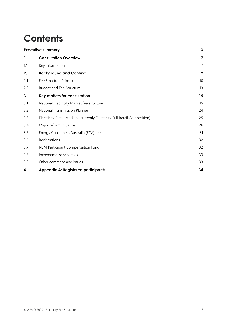## **Contents**

| <b>Executive summary</b> |                                                                            | 3  |
|--------------------------|----------------------------------------------------------------------------|----|
| 1.                       | <b>Consultation Overview</b>                                               | 7  |
| 1.1                      | Key information                                                            | 7  |
| 2.                       | <b>Background and Context</b>                                              | 9  |
| 2.1                      | Fee Structure Principles                                                   | 10 |
| 2.2                      | <b>Budget and Fee Structure</b>                                            | 13 |
| 3.                       | Key matters for consultation                                               | 15 |
| 3.1                      | National Electricity Market fee structure                                  | 15 |
| 3.2                      | National Transmission Planner                                              | 24 |
| 3.3                      | Electricity Retail Markets (currently Electricity Full Retail Competition) | 25 |
| 3.4                      | Major reform initiatives                                                   | 26 |
| 3.5                      | Energy Consumers Australia (ECA) fees                                      | 31 |
| 3.6                      | Registrations                                                              | 32 |
| 3.7                      | NEM Participant Compensation Fund                                          | 32 |
| 3.8                      | Incremental service fees                                                   | 33 |
| 3.9                      | Other comment and issues                                                   | 33 |
| 4.                       | <b>Appendix A: Registered participants</b>                                 | 34 |
|                          |                                                                            |    |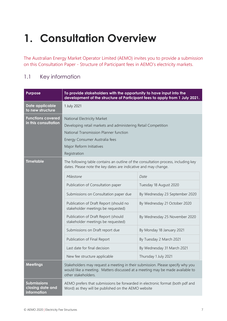## <span id="page-6-0"></span>**1. Consultation Overview**

The Australian Energy Market Operator Limited (AEMO) invites you to provide a submission on this Consultation Paper - Structure of Participant fees in AEMO's electricity markets.

## <span id="page-6-1"></span>1.1 Key information

| <b>Purpose</b>                                        | To provide stakeholders with the opportunity to have input into the<br>development of the structure of Participant fees to apply from 1 July 2021.                                                                    |                                |  |
|-------------------------------------------------------|-----------------------------------------------------------------------------------------------------------------------------------------------------------------------------------------------------------------------|--------------------------------|--|
| Date applicable<br>to new structure                   | 1 July 2021                                                                                                                                                                                                           |                                |  |
| <b>Functions covered</b><br>in this consultation      | National Electricity Market<br>Developing retail markets and administering Retail Competition<br>National Transmission Planner function<br>Energy Consumer Australia fees<br>Major Reform Initiatives<br>Registration |                                |  |
| <b>Timetable</b>                                      | The following table contains an outline of the consultation process, including key<br>dates. Please note the key dates are indicative and may change.                                                                 |                                |  |
|                                                       | Milestone                                                                                                                                                                                                             | Date                           |  |
|                                                       | Publication of Consultation paper                                                                                                                                                                                     | Tuesday 18 August 2020         |  |
|                                                       | Submissions on Consultation paper due                                                                                                                                                                                 | By Wednesday 23 September 2020 |  |
|                                                       | Publication of Draft Report (should no<br>stakeholder meetings be requested)                                                                                                                                          | By Wednesday 21 October 2020   |  |
|                                                       | Publication of Draft Report (should<br>stakeholder meetings be requested)                                                                                                                                             | By Wednesday 25 November 2020  |  |
|                                                       | Submissions on Draft report due                                                                                                                                                                                       | By Monday 18 January 2021      |  |
|                                                       | Publication of Final Report                                                                                                                                                                                           | By Tuesday 2 March 2021        |  |
|                                                       | Last date for final decision                                                                                                                                                                                          | By Wednesday 31 March 2021     |  |
|                                                       | New fee structure applicable                                                                                                                                                                                          | Thursday 1 July 2021           |  |
| <b>Meetings</b>                                       | Stakeholders may request a meeting in their submission. Please specify why you<br>would like a meeting. Matters discussed at a meeting may be made available to<br>other stakeholders.                                |                                |  |
| <b>Submissions</b><br>closing date and<br>information | AEMO prefers that submissions be forwarded in electronic format (both pdf and<br>Word) as they will be published on the AEMO website                                                                                  |                                |  |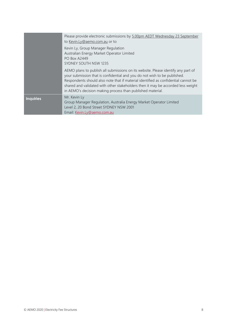|                  | Please provide electronic submissions by 5.00pm AEDT Wednesday 23 September<br>to Kevin.Ly@aemo.com.au or to                                                                                                                                                                                                                                                                                           |
|------------------|--------------------------------------------------------------------------------------------------------------------------------------------------------------------------------------------------------------------------------------------------------------------------------------------------------------------------------------------------------------------------------------------------------|
|                  | Kevin Ly, Group Manager Regulation<br>Australian Energy Market Operator Limited<br><b>PO Box A2449</b><br>SYDNEY SOUTH NSW 1235                                                                                                                                                                                                                                                                        |
|                  | AEMO plans to publish all submissions on its website. Please identify any part of<br>your submission that is confidential and you do not wish to be published.<br>Respondents should also note that if material identified as confidential cannot be<br>shared and validated with other stakeholders then it may be accorded less weight<br>in AEMO's decision making process than published material. |
| <b>Inquiries</b> | Mr. Kevin Ly<br>Group Manager Regulation, Australia Energy Market Operator Limited<br>Level 2, 20 Bond Street SYDNEY NSW 2001<br>Email: Kevin.Ly@aemo.com.au                                                                                                                                                                                                                                           |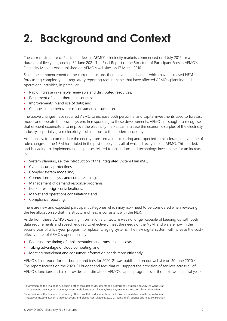## <span id="page-8-0"></span>**2. Background and Context**

The current structure of Participant fees in AEMO's electricity markets commenced on 1 July 2016 for a duration of five years, ending 30 June 2021. The Final Report of the Structure of Participant Fees in AEMO's Electricity Markets was published on AEMO's website<sup>2</sup> on 17 March 2016.

Since the commencement of the current structure, there have been changes which have increased NEM forecasting complexity and regulatory reporting requirements that have affected AEMO's planning and operational activities, in particular:

- Rapid increase in variable renewable and distributed resources;
- Retirement of aging thermal resources;
- Improvements in and use of data; and
- Changes in the behaviour of consumer consumption.

The above changes have required AEMO to increase both personnel and capital investments used to forecast, model and operate the power system. In responding to these developments, AEMO has sought to recognise that efficient expenditure to improve the electricity market can increase the economic surplus of the electricity industry, especially given electricity is ubiquitous to the modern economy.

Additionally, to accommodate the energy transformation occurring and expected to accelerate, the volume of rule changes in the NEM has tripled in the past three years, all of which directly impact AEMO. This has led, and is leading to, implementation expenses related to obligations and technology investments for an increase in:

- System planning, i.e. the introduction of the Integrated System Plan (ISP);
- Cyber security protections;
- Complex system modelling;
- Connections analysis and commissioning;
- Management of demand response programs;
- Market re-design considerations;
- Market and operations consultations; and
- Compliance reporting.

There are new and expected participant categories which may now need to be considered when reviewing the fee allocation so that the structure of fees is consistent with the NER.

Aside from these, AEMO's existing information architecture was no longer capable of keeping up with both data requirements and speed required to effectively meet the needs of the NEM, and we are now in the second year of a five-year program to replace its aging systems. The new digital system will increase the costeffectiveness of AEMO's operations by:

- Reducing the timing of implementation and transactional costs;
- Taking advantage of cloud computing; and
- Meeting participant and consumer information needs more efficiently.

AEMO's final report for our budget and fees for 2020-21 was published on our website on 30 June 2020.<sup>3</sup> The report focuses on the 2020-21 budget and fees that will support the provision of services across all of AEMO's functions and also provides an estimate of AEMO's capital program over the next two financial years,

<sup>&</sup>lt;sup>2</sup> Information on the final report, including other consultation documents and submissions, available on AEMO's website at: https://aemo.com.au/consultations/current-and-closed-consultations/electricity-markets-structure-of-participant-fees

<sup>&</sup>lt;sup>3</sup> Information on the final report, including other consultation documents and submissions, available on AEMO's website at: https://aemo.com.au/consultations/current-and-closed-consultations/2020-21-aemo-draft-budget-and-fees-consultation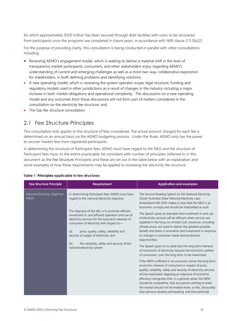for which approximately \$500 million has been secured through debt facilities with costs to be recovered from participants once the programs are completed in future years, in accordance with NER clause 2.11.1(b)(2).

For the purpose of providing clarity, this consultation is being conducted in parallel with other consultations including:

- Renewing AEMO's engagement model, which is seeking to deliver a material shift in the level of transparency market participants, consumers, and other stakeholders enjoy regarding AEMO's understanding of current and emerging challenges as well as a more two-way, collaborative experience for stakeholders, in both defining problems and identifying solutions;
- A new operating model, which is reviewing the system operator scope, legal structure, funding and regulatory models used in other jurisdictions as a result of changes in the industry including a major increase in both market obligations and operational complexity. The discussions on a new operating model and any outcomes from those discussions will not form part of matters considered in the consultation on the electricity fee structure; and
- The Gas fee structure consultation.

## <span id="page-9-0"></span>2.1 Fee Structure Principles

This consultation only applies to the structure of fees considered. The actual amount charged for each fee is determined on an annual basis via the AEMO budgeting process. Under the Rules, AEMO only has the power to recover market fees from registered participants.

In determining the structure of Participant fees, AEMO must have regard to the NEO and the structure of Participant fees must, to the extent practicable, be consistent with number of principles (referred to in this document as the Fee Structure Principles) and these are set out in the table below with an explanation and some examples of how these requirements may be applied to reviewing the electricity fee structure.

| <b>Fee Structure Principle</b>          | <b>Requirement</b>                                                                                                                                                                                                                                                                                                                                                                                                                                                                              | <b>Application and examples</b>                                                                                                                                                                                                                                                                                                                                                                                                                                                                                                                                                                                                                                                                                                                                                                                                                                                                                                                                                                                                                                                                                                                                                                                                                                                                  |
|-----------------------------------------|-------------------------------------------------------------------------------------------------------------------------------------------------------------------------------------------------------------------------------------------------------------------------------------------------------------------------------------------------------------------------------------------------------------------------------------------------------------------------------------------------|--------------------------------------------------------------------------------------------------------------------------------------------------------------------------------------------------------------------------------------------------------------------------------------------------------------------------------------------------------------------------------------------------------------------------------------------------------------------------------------------------------------------------------------------------------------------------------------------------------------------------------------------------------------------------------------------------------------------------------------------------------------------------------------------------------------------------------------------------------------------------------------------------------------------------------------------------------------------------------------------------------------------------------------------------------------------------------------------------------------------------------------------------------------------------------------------------------------------------------------------------------------------------------------------------|
| National Electricity Objective<br>(NEO) | In determining Participant fees, AEMO must have<br>regard to the national electricity objective.<br>The objective of the NEL is to promote efficient<br>investment in, and efficient operation and use of,<br>electricity services for the long term interests of<br>consumers of electricity with respect to-<br>price, quality, safety, reliability and<br>(a)<br>security of supply of electricity; and<br>the reliability, safety and security of the<br>(b)<br>national electricity system | The Second Reading Speech to the National Electricity<br>(South Australia) (New National Electricity Law)<br>Amendment Bill 2005 makes it clear that the NEO is an<br>economic concept and should be interpreted as such.<br>The Speech gives an example that investment in and use<br>of electricity services will be efficient when services are<br>supplied in the long run at least cost, resources, including<br>infrastructure, are used to deliver the greatest possible<br>benefit and there is innovation and investment in response<br>to changes in consumer needs and productive<br>opportunities.<br>The Speech goes on to state that the long term interests<br>of consumers of electricity requires the economic welfare<br>of consumers, over the long term, to be maximised.<br>If the NEM is efficient in an economic sense, the long term<br>economic interests of consumers in respect of price,<br>quality, reliability, safety and security of electricity services<br>will be maximised. Applying an objective of economic<br>efficiency recognises that, in a general sense, the NEM<br>should be competitive, that any person wishing to enter<br>the market should not be treated more, or less, favourably<br>than persons already participating, and that particular |

#### **Table 1 Principles applicable to fee structures**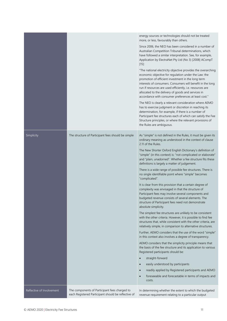|                           |                                                                                                      | energy sources or technologies should not be treated<br>more, or less, favourably than others.                                                                                                                                                                                                                                                                                                                      |
|---------------------------|------------------------------------------------------------------------------------------------------|---------------------------------------------------------------------------------------------------------------------------------------------------------------------------------------------------------------------------------------------------------------------------------------------------------------------------------------------------------------------------------------------------------------------|
|                           |                                                                                                      | Since 2006, the NEO has been considered in a number of<br>Australian Competition Tribunal determinations, which<br>have followed a similar interpretation. See, for example,<br>Application by ElectraNet Pty Ltd (No 3) [2008] ACompT<br>$[15]$ :                                                                                                                                                                  |
|                           |                                                                                                      | "The national electricity objective provides the overarching<br>economic objective for regulation under the Law: the<br>promotion of efficient investment in the long term<br>interests of consumers. Consumers will benefit in the long<br>run if resources are used efficiently, i.e. resources are<br>allocated to the delivery of goods and services in<br>accordance with consumer preferences at least cost." |
|                           |                                                                                                      | The NEO is clearly a relevant consideration where AEMO<br>has to exercise judgment or discretion in reaching its<br>determination, for example, if there is a number of<br>Participant fee structures each of which can satisfy the Fee<br>Structure principles, or where the relevant provisions of<br>the Rules are ambiguous.                                                                                    |
| Simplicity                | The structure of Participant fees should be simple                                                   | As "simple" is not defined in the Rules, it must be given its<br>ordinary meaning as understood in the context of clause<br>2.11 of the Rules.                                                                                                                                                                                                                                                                      |
|                           |                                                                                                      | The New Shorter Oxford English Dictionary's definition of<br>"simple" (in this context) is: "not complicated or elaborate"<br>and "plain, unadorned". Whether a fee structure fits these<br>definitions is largely a matter of judgement.                                                                                                                                                                           |
|                           |                                                                                                      | There is a wide range of possible fee structures. There is<br>no single identifiable point where "simple" becomes<br>"complicated".                                                                                                                                                                                                                                                                                 |
|                           |                                                                                                      | It is clear from this provision that a certain degree of<br>complexity was envisaged in that the structure of<br>Participant fees may involve several components and<br>budgeted revenue consists of several elements. The<br>structure of Participant fees need not demonstrate<br>absolute simplicity.                                                                                                            |
|                           |                                                                                                      | The simplest fee structures are unlikely to be consistent<br>with the other criteria. However, it is possible to find fee<br>structures that, while consistent with the other criteria, are<br>relatively simple, in comparison to alternative structures.                                                                                                                                                          |
|                           |                                                                                                      | Further, AEMO considers that the use of the word "simple"<br>in this context also involves a degree of transparency.                                                                                                                                                                                                                                                                                                |
|                           |                                                                                                      | AEMO considers that the simplicity principle means that<br>the basis of the fee structure and its application to various<br>Registered participants should be:                                                                                                                                                                                                                                                      |
|                           |                                                                                                      | straight-forward<br>$\bullet$                                                                                                                                                                                                                                                                                                                                                                                       |
|                           |                                                                                                      | easily understood by participants<br>$\bullet$                                                                                                                                                                                                                                                                                                                                                                      |
|                           |                                                                                                      | readily applied by Registered participants and AEMO<br>$\bullet$<br>foreseeable and forecastable in terms of impacts and<br>$\bullet$<br>costs.                                                                                                                                                                                                                                                                     |
| Reflective of Involvement | The components of Participant fees charged to<br>each Registered Participant should be reflective of | In determining whether the extent to which the budgeted<br>revenue requirement relating to a particular output                                                                                                                                                                                                                                                                                                      |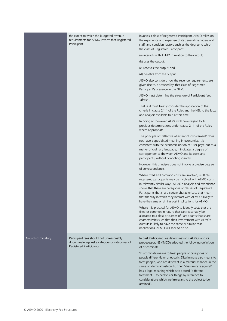|                    | the extent to which the budgeted revenue<br>requirements for AEMO involve that Registered<br>Participant                | involves a class of Registered Participant, AEMO relies on<br>the experience and expertise of its general managers and<br>staff, and considers factors such as the degree to which<br>the class of Registered Participant:                                                                                                                                                                                                         |
|--------------------|-------------------------------------------------------------------------------------------------------------------------|------------------------------------------------------------------------------------------------------------------------------------------------------------------------------------------------------------------------------------------------------------------------------------------------------------------------------------------------------------------------------------------------------------------------------------|
|                    |                                                                                                                         | (a) interacts with AEMO in relation to the output;                                                                                                                                                                                                                                                                                                                                                                                 |
|                    |                                                                                                                         | (b) uses the output;                                                                                                                                                                                                                                                                                                                                                                                                               |
|                    |                                                                                                                         | (c) receives the output; and                                                                                                                                                                                                                                                                                                                                                                                                       |
|                    |                                                                                                                         | (d) benefits from the output.                                                                                                                                                                                                                                                                                                                                                                                                      |
|                    |                                                                                                                         | AEMO also considers how the revenue requirements are<br>given rise to, or caused by, that class of Registered<br>Participant's presence in the NEM.                                                                                                                                                                                                                                                                                |
|                    |                                                                                                                         | AEMO must determine the structure of Participant fees<br>"afresh".                                                                                                                                                                                                                                                                                                                                                                 |
|                    |                                                                                                                         | That is, it must freshly consider the application of the<br>criteria in clause 2.11.1 of the Rules and the NEL to the facts<br>and analysis available to it at this time.                                                                                                                                                                                                                                                          |
|                    |                                                                                                                         | In doing so, however, AEMO will have regard to its<br>previous determinations under clause 2.11.1 of the Rules,<br>where appropriate.                                                                                                                                                                                                                                                                                              |
|                    |                                                                                                                         | The principle of "reflective of extent of involvement" does<br>not have a specialised meaning in economics. It is<br>consistent with the economic notion of 'user pays' but as a<br>matter of ordinary language, it indicates a degree of<br>correspondence (between AEMO and its costs and<br>participants) without connoting identity.                                                                                           |
|                    |                                                                                                                         | However, this principle does not involve a precise degree<br>of correspondence.                                                                                                                                                                                                                                                                                                                                                    |
|                    |                                                                                                                         | Where fixed and common costs are involved, multiple<br>registered participants may be involved with AEMO costs<br>in relevantly similar ways. AEMO's analysis and experience<br>shows that there are categories or classes of Registered<br>Participants that share certain characteristics that mean<br>that the way in which they interact with AEMO is likely to<br>have the same or similar cost implications for AEMO.        |
|                    |                                                                                                                         | Where it is practical for AEMO to identify costs that are<br>fixed or common in nature that can reasonably be<br>allocated to a class or classes of Participants that share<br>characteristics such that their involvement with AEMO's<br>outputs is likely to have the same or similar cost<br>implications, AEMO will seek to do so.                                                                                             |
| Non-discriminatory | Participant fees should not unreasonably<br>discriminate against a category or categories of<br>Registered Participants | In past Participant Fee determinations, AEMO (and its<br>predecessor, NEMMCO) adopted the following definition<br>of discriminate:                                                                                                                                                                                                                                                                                                 |
|                    |                                                                                                                         | "Discriminate means to treat people or categories of<br>people differently or unequally. Discriminate also means to<br>treat people, who are different in a material manner, in the<br>same or identical fashion. Further, "discriminate against"<br>has a legal meaning which is to accord "different<br>treatment  to persons or things by reference to<br>considerations which are irrelevant to the object to be<br>attained". |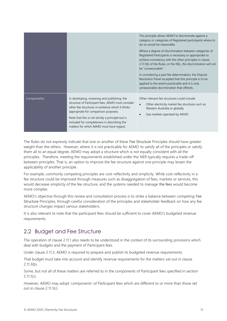|               |                                                                                                                                                                                                                                                                                                                                                | This principle allows AEMO to discriminate against a<br>category or categories of Registered participants where to<br>do so would be reasonable.<br>Where a degree of discrimination between categories of<br>Registered Participants is necessary or appropriate to<br>achieve consistency with the other principles in clause<br>2.11.1(b) of the Rules, or the NEL, the discrimination will not<br>be "unreasonable".<br>In considering a past fee determination, the Dispute<br>Resolution Panel accepted that this principle is to be<br>applied to the extent practicable and it is only<br>unreasonable discrimination that offends. |
|---------------|------------------------------------------------------------------------------------------------------------------------------------------------------------------------------------------------------------------------------------------------------------------------------------------------------------------------------------------------|---------------------------------------------------------------------------------------------------------------------------------------------------------------------------------------------------------------------------------------------------------------------------------------------------------------------------------------------------------------------------------------------------------------------------------------------------------------------------------------------------------------------------------------------------------------------------------------------------------------------------------------------|
| Comparability | In developing, reviewing and publishing, the<br>structure of Participant fees, AEMO must consider<br>other fee structures in existence which it thinks<br>appropriate for comparison purposes.<br>Note that this is not strictly a principle but is<br>included for completeness in describing the<br>matters for which AEMO must have regard. | Other relevant fee structures could include:<br>Other electricity market fee structures such as<br>Western Australia or globally<br>Gas markets operated by AEMO                                                                                                                                                                                                                                                                                                                                                                                                                                                                            |

The Rules do not expressly indicate that one or another of these Fee Structure Principles should have greater weight than the others. However, where it is not practicable for AEMO to satisfy all of the principles or satisfy them all to an equal degree, AEMO may adopt a structure which is not equally consistent with all the principles. Therefore, meeting the requirements established under the NER typically requires a trade-off between principles. That is, an option to improve the fee structure against one principle may lessen the applicability of another principle.

For example, commonly competing principles are cost-reflectivity and simplicity. While cost-reflectivity in a fee structure could be improved through measures such as disaggregation of fees, markets or services, this would decrease simplicity of the fee structure, and the systems needed to manage the fees would become more complex.

AEMO's objective through this review and consultation process is to strike a balance between competing Fee Structure Principles, through careful consideration of the principles and stakeholder feedback on how any fee structure changes impact various stakeholders.

It is also relevant to note that the participant fees should be sufficient to cover AEMO's budgeted revenue requirements.

## <span id="page-12-0"></span>2.2 Budget and Fee Structure

The operation of clause 2.11.1 also needs to be understood in the context of its surrounding provisions which deal with budgets and the payment of Participant fees.

Under clause 2.11.3, AEMO is required to prepare and publish its budgeted revenue requirements.

That budget must take into account and identify revenue requirements for the matters set out in clause 2.11.3(b).

Some, but not all of these matters are referred to in the components of Participant fees specified in section  $2.111(c)$ .

However, AEMO may adopt 'components' of Participant fees which are different to or more than those set out in clause 2.11.1(c).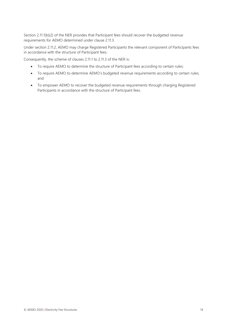Section 2.11.1(b)(2) of the NER provides that Participant fees should recover the budgeted revenue requirements for AEMO determined under clause 2.11.3.

Under section 2.11.2, AEMO may charge Registered Participants the relevant component of Participants fees in accordance with the structure of Participant fees.

Consequently, the scheme of clauses 2.11.1 to 2.11.3 of the NER is:

- To require AEMO to determine the structure of Participant fees according to certain rules;
- To require AEMO to determine AEMO's budgeted revenue requirements according to certain rules; and
- To empower AEMO to recover the budgeted revenue requirements through charging Registered Participants in accordance with the structure of Participant fees.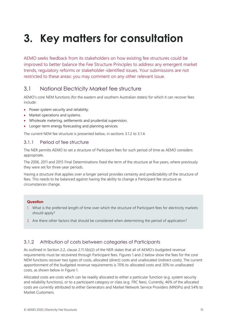## <span id="page-14-0"></span>**3. Key matters for consultation**

AEMO seeks feedback from its stakeholders on how existing fee structures could be improved to better balance the Fee Structure Principles to address any emergent market trends, regulatory reforms or stakeholder-identified issues. Your submissions are not restricted to these areas: you may comment on any other relevant issue.

## <span id="page-14-1"></span>3.1 National Electricity Market fee structure

AEMO's core NEM functions (for the eastern and southern Australian states) for which it can recover fees include:

- Power system security and reliability.
- Market operations and systems.
- Wholesale metering, settlements and prudential supervision.
- Longer-term energy forecasting and planning services.

The current NEM fee structure is presented below, in sections 3.1.2 to 3.1.4.

## 3.1.1 Period of fee structure

The NER permits AEMO to set a structure of Participant fees for such period of time as AEMO considers appropriate.

The 2006, 2011 and 2015 Final Determinations fixed the term of the structure at five years, where previously they were set for three-year periods.

Having a structure that applies over a longer period provides certainty and predictability of the structure of fees. This needs to be balanced against having the ability to change a Participant fee structure as circumstances change.

### **Question**

- 1. What is the preferred length of time over which the structure of Participant fees for electricity markets should apply?
- 2. Are there other factors that should be considered when determining the period of application?

## 3.1.2 Attribution of costs between categories of Participants

As outlined in Section 2.2, clause 2.11.1(b)(2) of the NER states that all of AEMO's budgeted revenue requirements must be recovered through Participant fees. Figures 1 and 2 below show the fees for the core NEM functions recover two types of costs, allocated (direct) costs and unallocated (indirect costs). The current apportionment of the budgeted revenue requirements is 70% to allocated costs and 30% to unallocated costs, as shown below in Figure 1.

Allocated costs are costs which can be readily allocated to either a particular function (e.g. system security and reliability functions), or to a participant category or class (e.g. FRC fees). Currently, 46% of the allocated costs are currently attributed to either Generators and Market Network Service Providers (MNSPs) and 54% to Market Customers.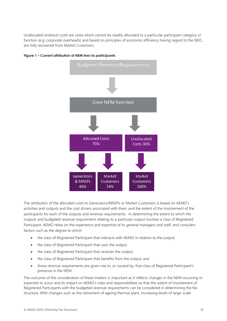Unallocated (indirect) costs are costs which cannot be readily allocated to a particular participant category or function (e.g. corporate overheads) and based on principles of economic efficiency having regard to the NEO, are fully recovered from Market Customers.



#### **Figure 1 – Current attribution of NEM fees to participants**

The attribution of the allocated costs to Generators/MNSPs or Market Customers is based on AEMO's activities and outputs and the cost drivers associated with them and the extent of the involvement of the participants for each of the outputs and revenue requirements. In determining the extent to which the outputs and budgeted revenue requirement relating to a particular output involves a class of Registered Participant, AEMO relies on the experience and expertise of its general managers and staff, and considers factors such as the degree to which:

- the class of Registered Participant that interacts with AEMO in relation to the output;
- the class of Registered Participant that uses the output;
- the class of Registered Participant that receives the output;
- the class of Registered Participant that benefits from the output; and
- those revenue requirements are given rise to, or caused by, that class of Registered Participant's presence in the NEM.

The outcome of the consideration of these matters is important as it reflects changes in the NEM occurring or expected to occur and its impact on AEMO's roles and responsibilities so that the extent of involvement of Registered Participants with the budgeted revenue requirements can be considered in determining the fee structure. With changes such as the retirement of ageing thermal plant, increasing levels of large-scale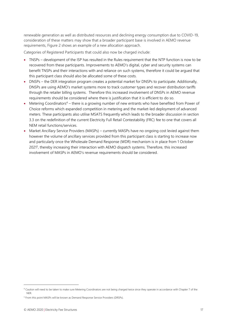renewable generation as well as distributed resources and declining energy consumption due to COVID-19, consideration of these matters may show that a broader participant base is involved in AEMO revenue requirements, Figure 2 shows an example of a new allocation approach.

Categories of Registered Participants that could also now be charged include:

- TNSPs development of the ISP has resulted in the Rules requirement that the NTP function is now to be recovered from these participants. Improvements to AEMO's digital, cyber and security systems can benefit TNSPs and their interactions with and reliance on such systems, therefore it could be argued that this participant class should also be allocated some of these costs.
- DNSPs the DER integration program creates a potential market for DNSPs to participate. Additionally, DNSPs are using AEMO's market systems more to track customer types and recover distribution tariffs through the retailer billing systems. Therefore this increased involvement of DNSPs in AEMO revenue requirements should be considered where there is justification that it is efficient to do so.
- Metering Coordinators<sup>4</sup> there is a growing number of new entrants who have benefited from Power of Choice reforms which expanded competition in metering and the market-led deployment of advanced meters. These participants also utilise MSATS frequently which leads to the broader discussion in section 3.3 on the redefinition of the current Electricity Full Retail Contestability (FRC) fee to one that covers all NEM retail functions/services.
- Market Ancillary Service Providers (MASPs) currently MASPs have no ongoing cost levied against them however the volume of ancillary services provided from this participant class is starting to increase now and particularly once the Wholesale Demand Response (WDR) mechanism is in place from 1 October 2021<sup>5</sup> , thereby increasing their interaction with AEMO dispatch systems. Therefore, this increased involvement of MASPs in AEMO's revenue requirements should be considered.

<sup>4</sup> Caution will need to be taken to make sure Metering Coordinators are not being charged twice since they operate in accordance with Chapter 7 of the **NER** 

<sup>&</sup>lt;sup>5</sup> From this point MASPs will be known as Demand Response Service Providers (DRSPs).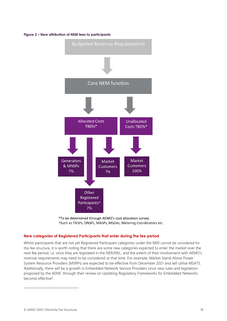#### **Figure 2 – New attribution of NEM fees to participants**





#### **New categories of Registered Participants that enter during the fee period**

Whilst participants that are not yet Registered Participant categories under the NER cannot be considered for this fee structure, it is worth noting that there are some new categories expected to enter the market over the next fee period, i.e. once they are legislated in the NER/NEL, and the extent of their involvement with AEMO's revenue requirements may need to be considered at that time. For example, Market Stand-Alone Power System Resource Providers (MSRPs) are expected to be effective from December 2021 and will utilise MSATS. Additionally, there will be a growth in Embedded Network Service Providers once new rules and legislation proposed by the AEMC through their review on Updating Regulatory Frameworks for Embedded Networks become effective<sup>6</sup>.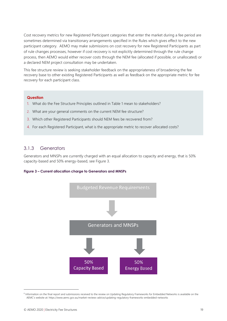Cost recovery metrics for new Registered Participant categories that enter the market during a fee period are sometimes determined via transitionary arrangements specified in the Rules which gives effect to the new participant category. AEMO may make submissions on cost recovery for new Registered Participants as part of rule changes processes, however if cost recovery is not explicitly determined through the rule change process, then AEMO would either recover costs through the NEM fee (allocated if possible, or unallocated) or a declared NEM project consultation may be undertaken.

This fee structure review is seeking stakeholder feedback on the appropriateness of broadening the fee recovery base to other existing Registered Participants as well as feedback on the appropriate metric for fee recovery for each participant class.

#### **Question**

- 1. What do the Fee Structure Principles outlined in Table 1 mean to stakeholders?
- 2. What are your general comments on the current NEM fee structure?
- 3. Which other Registered Participants should NEM fees be recovered from?
- 4. For each Registered Participant, what is the appropriate metric to recover allocated costs?

## 3.1.3 Generators

Generators and MNSPs are currently charged with an equal allocation to capacity and energy, that is 50% capacity-based and 50% energy-based, see Figure 3.

#### **Figure 3 – Current allocation charge to Generators and MNSPs**



<sup>&</sup>lt;sup>6</sup> Information on the final report and submissions received to the review on Updating Regulatory Frameworks for Embedded Networks is available on the AEMC's website at: https://www.aemc.gov.au/market-reviews-advice/updating-regulatory-frameworks-embedded-networks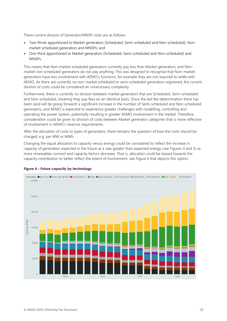There current division of Generator/MNSP costs are as follows:

- Two-thirds apportioned to Market generators (Scheduled, Semi-scheduled and Non-scheduled), Nonmarket scheduled generators and MNSPs; and
- One-third apportioned to Market generators (Scheduled, Semi-scheduled and Non-scheduled) and MNSPs.

This means that Non-market scheduled generators currently pay less than Market generators, and Nonmarket non-scheduled generators do not pay anything. This was designed to recognise that Non-market generators have less involvement with AEMO's functions, for example they are not required to settle with AEMO. As there are currently no non-market scheduled or semi-scheduled generators registered, the current division of costs could be considered an unnecessary complexity.

Furthermore, there is currently no division between market generators that are Scheduled, Semi-scheduled and Non-scheduled, meaning they pay fees on an identical basis. Since the last fee determination there has been (and will be going forward) a significant increase in the number of Semi-scheduled and Non-scheduled generators, and AEMO is expected to experience greater challenges with modelling, controlling and operating the power system, potentially resulting in greater AEMO involvement in the market. Therefore, consideration could be given to division of costs between Market generator categories that is more reflective of involvement in AEMO's revenue requirements.

After the allocation of costs to types of generators, there remains the question of how the costs should be charged, e.g. per MW or MWh.

Changing the equal allocation to capacity versus energy could be considered to reflect the increase in capacity of generation expected in the future at a rate greater than expected energy (see Figures 4 and 5) as more renewables connect and capacity factors decrease. That is, allocation could be biased towards the capacity contribution to better reflect the extent of involvement, see Figure 6 that depicts this option.



### **Figure 4 – Future capacity by technology**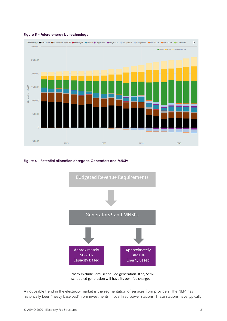

#### **Figure 5 – Future energy by technology**

#### **Figure 6 – Potential allocation charge to Generators and MNSPs**





A noticeable trend in the electricity market is the segmentation of services from providers. The NEM has historically been "heavy baseload" from investments in coal fired power stations. These stations have typically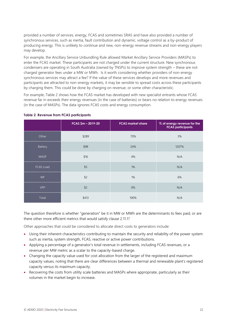provided a number of services, energy, FCAS and sometimes SRAS and have also provided a number of synchronous services, such as inertia, fault contribution and dynamic, voltage control as a by-product of producing energy. This is unlikely to continue and new, non-energy revenue streams and non-energy players may develop.

For example, the Ancillary Service Unbundling Rule allowed Market Ancillary Service Providers (MASPs) to enter the FCAS market. These participants are not charged under the current structure. New synchronous condensers are operating in South Australia (owned by TNSPs) to improve system strength – these are not charged generator fees under a MW or MWh. Is it worth considering whether providers of non-energy synchronous services may attract a fee? If the value of these services develops and more revenues and participants are attracted to non-energy markets, it may be sensible to spread costs across these participants by charging them. This could be done by charging on revenue, or some other characteristic.

For example, Table 2 shows how the FCAS market has developed with new specialist entrants whose FCAS revenue far in exceeds their energy revenues (in the case of batteries) or bears no relation to energy revenues (in the case of MASPs). The data ignores FCAS costs and energy consumption.

|             | $FCAS$ \$m - 2019-20 | <b>FCAS market share</b> | % of energy revenue for the<br><b>FCAS participants</b> |
|-------------|----------------------|--------------------------|---------------------------------------------------------|
| Other       | \$289                | 70%                      | 3%                                                      |
| Battery     | \$98                 | 24%                      | 1207%                                                   |
| <b>MASP</b> | \$16                 | 4%                       | N/A                                                     |
| FCAS Load   | $$5$                 | 1%                       | N/A                                                     |
| <b>WF</b>   | \$2                  | 1%                       | 6%                                                      |
| <b>VPP</b>  | \$2                  | 0%                       | N/A                                                     |
| Total       | \$413                | 100%                     | N/A                                                     |

#### **Table 2 Revenue from FCAS participants**

The question therefore is whether "generation" be it in MW or MWh are the determinants to fees paid, or are there other more efficient metrics that would satisfy clause 2.11.1?

Other approaches that could be considered to allocate direct costs to generators include:

- Using their inherent characteristics contributing to maintain the security and reliability of the power system such as inertia, system strength, FCAS, reactive or active power contributions.
- Applying a percentage of a generator's total revenue in settlements, including FCAS revenues, or a revenue per MW metric as a scalar to the capacity-based charge.
- Changing the capacity value used for cost allocation from the larger of the registered and maximum capacity values, noting that there are clear differences between a thermal and renewable plant's registered capacity versus its maximum capacity.
- Recovering the costs from utility scale batteries and MASPs where appropriate, particularly as their volumes in the market begin to increase.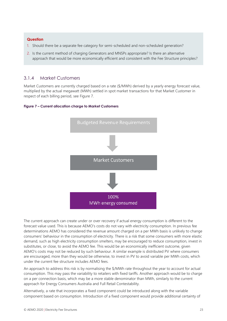#### **Question**

- 1. Should there be a separate fee category for semi-scheduled and non-scheduled generation?
- 2. Is the current method of charging Generators and MNSPs appropriate? Is there an alternative approach that would be more economically efficient and consistent with the Fee Structure principles?

## 3.1.4 Market Customers

Market Customers are currently charged based on a rate (\$/MWh) derived by a yearly energy forecast value, multiplied by the actual megawatt (MWh) settled in spot market transactions for that Market Customer in respect of each billing period, see Figure 7.





The current approach can create under or over recovery if actual energy consumption is different to the forecast value used. This is because AEMO's costs do not vary with electricity consumption. In previous fee determinations AEMO has considered the revenue amount charged on a per MWh basis is unlikely to change consumers' behaviour in the consumption of electricity. There is a risk that some consumers with more elastic demand, such as high electricity consumption smelters, may be encouraged to reduce consumption, invest in substitutes, or close, to avoid the AEMO fee. This would be an economically inefficient outcome, given AEMO's costs may not be reduced by such behaviour. A similar example is distributed PV where consumers are encouraged, more than they would be otherwise, to invest in PV to avoid variable per MWh costs, which under the current fee structure includes AEMO fees.

An approach to address this risk is by normalising the \$/MWh rate throughout the year to account for actual consumption. This may pass the variability to retailers with fixed tariffs. Another approach would be to charge on a per connection basis, which may be a more stable denominator than MWh, similarly to the current approach for Energy Consumers Australia and Full Retail Contestability.

Alternatively, a rate that incorporates a fixed component could be introduced along with the variable component based on consumption. Introduction of a fixed component would provide additional certainty of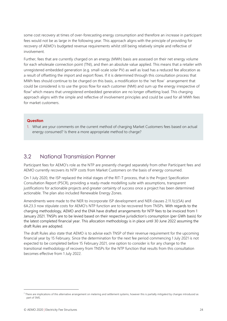some cost recovery at times of over-forecasting energy consumption and therefore an increase in participant fees would not be as large in the following year. This approach aligns with the principle of providing for recovery of AEMO's budgeted revenue requirements whilst still being relatively simple and reflective of involvement.

Further, fees that are currently charged on an energy (MWh) basis are assessed on their net energy volume for each wholesale connection point (TNI), and then an absolute value applied. This means that a retailer with unregistered embedded generation (e.g. small-scale solar PV) as well as load has a reduced fee allocation as a result of offsetting the import and export flows. If it is determined through this consultation process that MWh fees should continue to be charged on this basis, a modification to the 'net flow' arrangement that could be considered is to use the gross flow for each customer (NMI) and sum up the energy irrespective of flow<sup>7</sup> which means that unregistered embedded generation are no longer offsetting load. This charging approach aligns with the simple and reflective of involvement principles and could be used for all MWh fees for market customers.

### **Question**

1. What are your comments on the current method of charging Market Customers fees based on actual energy consumed? Is there a more appropriate method to charge?

## <span id="page-23-0"></span>3.2 National Transmission Planner

Participant fees for AEMO's role as the NTP are presently charged separately from other Participant fees and AEMO currently recovers its NTP costs from Market Customers on the basis of energy consumed.

On 1 July 2020, the ISP replaced the initial stages of the RIT-T process, that is the Project Specification Consultation Report (PSCR), providing a ready-made modelling suite with assumptions, transparent justifications for actionable projects and greater certainty of success once a project has been determined actionable. The plan also included Renewable Energy Zones.

Amendments were made to the NER to incorporate ISP development and NER clauses 2.11.1(c)(5A) and 6A.23.3 now stipulate costs for AEMO's NTP function are to be recovered from TNSPs. With regards to the charging methodology, AEMO and the ENA have drafted arrangements for NTP fees to be invoiced from 1 January 2021. TNSPs are to be levied based on their respective jurisdiction's consumption (per GWh basis) for the latest completed financial year. This allocation methodology is in place until 30 June 2022 assuming the draft Rules are adopted.

The draft Rules also state that AEMO is to advise each TNSP of their revenue requirement for the upcoming financial year by 15 February. Since the determination for the next fee period commencing 1 July 2021 is not expected to be completed before 15 February 2021, one option to consider is for any change to the transitional methodology of recovery from TNSPs for the NTP function that results from this consultation becomes effective from 1 July 2022.

<sup>7</sup> There are implications of this alternative arrangement on metering and settlement systems, however this is partially mitigated by changes introduced as part of 5MS.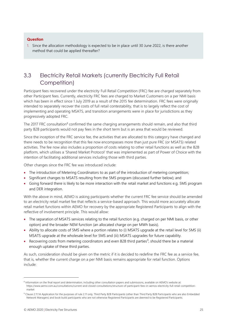## **Question**

1. Since the allocation methodology is expected to be in place until 30 June 2022, is there another method that could be applied thereafter?

## <span id="page-24-0"></span>3.3 Electricity Retail Markets (currently Electricity Full Retail Competition)

Participant fees recovered under the electricity Full Retail Competition (FRC) fee are charged separately from other Participant fees. Currently, electricity FRC fees are charged to Market Customers on a per NMI basis which has been in effect since 1 July 2019 as a result of the 2015 fee determination. FRC fees were originally intended to separately recover the costs of full retail contestability, that is to largely reflect the cost of implementing and operating MSATS, and transition arrangements were in place for jurisdictions as they progressively adopted FRC.

The 2017 FRC consultation<sup>8</sup> confirmed the same charging arrangements should remain, and also that third party B2B participants would not pay fees in the short term but is an area that would be reviewed.

Since the inception of the FRC service fee, the activities that are allocated to this category have changed and there needs to be recognition that this fee now encompasses more than just pure FRC (or MSATS) related activities. The fee now also includes a proportion of costs relating to other retail functions as well as the B2B platform, which utilises a 'Shared Market Protocol' that was implemented as part of Power of Choice with the intention of facilitating additional services including those with third parties.

Other changes since the FRC fee was introduced include:

- The introduction of Metering Coordinators to as part of the introduction of metering competition;
- Significant changes to MSATS resulting from the 5MS program (discussed further below); and
- Going forward there is likely to be more interaction with the retail market and functions e.g. 5MS program and DER integration.

With the above in mind, AEMO is asking participants whether the current FRC fee service should be amended to an electricity retail market fee that reflects a service-based approach. This would more accurately allocate retail market functions within AEMO for recovery by the appropriate Registered Participants to align with the reflective of involvement principle. This would allow:

- The separation of MSATS services relating to the retail function (e.g. charged on per NMI basis, or other option) and the broader NEM function (an allocated charge on per MWh basis).
- Ability to allocate costs of 5MS where a portion relates to (i) MSATS upgrade at the retail level for 5MS (ii) MSATS upgrade at the wholesale level for 5MS and (iii) MSATS upgrades for future capability.
- Recovering costs from metering coordinators and even B2B third parties<sup>9</sup>, should there be a material enough uptake of these third parties.

As such, consideration should be given on the metric if it is decided to redefine the FRC fee as a service fee, that is, whether the current charge on a per NMI basis remains appropriate for retail function. Options include:

<sup>&</sup>lt;sup>8</sup> Information on the final report and determination, including other consultation papers and submissions, available on AEMO's website at: https://www.aemo.com.au/consultations/current-and-closed-consultations/structure-of-participant-fees-in-aemos-electricity-full-retail-competitionmarket

<sup>&</sup>lt;sup>9</sup> Clause 2.11.1A Application for the purposes of rule 2.11 only, Third Party B2B Participants (other than Third Party B2B Participants who are also Embedded Network Managers) and book build participants who are not otherwise Registered Participants are deemed to be Registered Participants.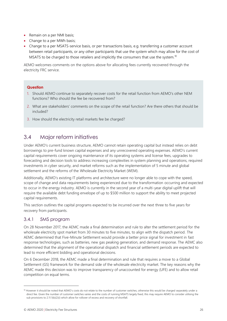- Remain on a per NMI basis;
- Change to a per MWh basis;
- Change to a per MSATS-service basis, or per transactions basis, e.g. transferring a customer account between retail participants, or any other participants that use the system which may allow for the cost of MSATS to be charged to those retailers and implicitly the consumers that use the system.<sup>10</sup>

AEMO welcomes comments on the options above for allocating fees currently recovered through the electricity FRC service.

### **Question**

- 1. Should AEMO continue to separately recover costs for the retail function from AEMO's other NEM functions? Who should the fee be recovered from?
- 2. What are stakeholders' comments on the scope of the retail function? Are there others that should be included?
- 3. How should the electricity retail markets fee be charged?

## <span id="page-25-0"></span>3.4 Major reform initiatives

Under AEMO's current business structure, AEMO cannot retain operating capital but instead relies on debt borrowings to pre-fund known capital expenses and any unrecovered operating expenses. AEMO's current capital requirements cover ongoing maintenance of its operating systems and license fees, upgrades to forecasting and decision tools to address increasing complexities in system planning and operations, required investments in cyber security, and market reforms such as the implementation of 5 minute and global settlement and the reforms of the Wholesale Electricity Market (WEM).

Additionally, AEMO's existing IT platforms and architecture were no longer able to cope with the speed, scope of change and data requirements being experienced due to the transformation occurring and expected to occur in the energy industry. AEMO is currently in the second year of a multi-year digital uplift that will require the available debt funding envelope of up to \$500 million to support the ability to meet projected capital requirements.

This section outlines the capital programs expected to be incurred over the next three to five years for recovery from participants.

## 3.4.1 5MS program

On 28 November 2017, the AEMC made a final determination and rule to alter the settlement period for the wholesale electricity spot market from 30 minutes to five minutes, to align with the dispatch period. The AEMC determined that Five-Minute Settlement would provide a better price signal for investment in fast response technologies, such as batteries, new gas peaking generation, and demand response. The AEMC also determined that the alignment of the operational dispatch and financial settlement periods are expected to lead to more efficient bidding and operational decisions.

On 6 December 2018, the AEMC made a final determination and rule that requires a move to a Global Settlement (GS) framework for the demand side of the wholesale electricity market. The key reasons why the AEMC made this decision was to improve transparency of unaccounted for energy (UFE) and to allow retail competition on equal terms.

<sup>10</sup> However it should be noted that AEMO's costs do not relate to the number of customer switches, otherwise this would be charged separately under a direct fee. Given the number of customer switches varies and the costs of running MSATS largely fixed, this may require AEMO to consider utilising the sub provisions to 2.11.1(b)(2)(i) which allow for rollover of excess and recovery of shortfall.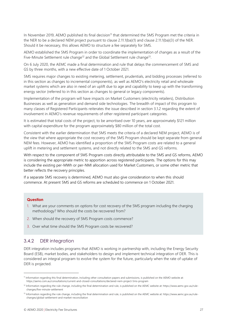In November 2019, AEMO published its final decision<sup>11</sup> that determined the 5MS Program met the criteria in the NER to be a declared NEM project pursuant to clause 2.11.1(ba)(1) and clause 2.11.1(ba)(3) of the NER. Should it be necessary, this allows AEMO to structure a fee separately for 5MS.

AEMO established the 5MS Program in order to coordinate the implementation of changes as a result of the Five-Minute Settlement rule change<sup>12</sup> and the Global Settlement rule change<sup>13</sup>.

On 6 July 2020, the AEMC made a final determination and rule that delays the commencement of 5MS and GS by three months, with a new effective date of 1 October 2021.

5MS requires major changes to existing metering, settlement, prudentials, and bidding processes (referred to in this section as changes to incremental components), as well as AEMO's electricity retail and wholesale market systems which are also in need of an uplift due to age and capability to keep up with the transforming energy sector (referred to in this section as changes to general or legacy components).

Implementation of the program will have impacts on Market Customers (electricity retailers), Distribution Businesses as well as generation and demand side technologies. The breadth of impact of this program to many classes of Registered Participants reiterates the issue described in section 3.1.2 regarding the extent of involvement in AEMO's revenue requirements of other registered participant categories.

It is estimated that total costs of the project, to be amortised over 10 years, are approximately \$121 million with capital expenditure for the program approximately \$80 million of the total cost.

Consistent with the earlier determination that 5MS meets the criteria of a declared NEM project, AEMO is of the view that where appropriate the cost recovery of the 5MS Program should be kept separate from general NEM fees. However, AEMO has identified a proportion of the 5MS Program costs are related to a general uplift in metering and settlement systems, and not directly related to the 5MS and GS reforms.

With respect to the component of 5MS Program costs directly attributable to the 5MS and GS reforms, AEMO is considering the appropriate metric to apportion across registered participants. The options for this may include the existing per-MWh or per-NMI allocation used for Market Customers, or some other metric that better reflects the recovery principles.

If a separate 5MS recovery is determined, AEMO must also give consideration to when this should commence. At present 5MS and GS reforms are scheduled to commence on 1 October 2021.

#### **Question**

- 1. What are your comments on options for cost recovery of the 5MS program including the charging methodology? Who should the costs be recovered from?
- 2. When should the recovery of 5MS Program costs commence?
- 3. Over what time should the 5MS Program costs be recovered?

## 3.4.2 DER integration

DER integration includes programs that AEMO is working in partnership with, including the Energy Security Board (ESB), market bodies, and stakeholders to design and implement technical integration of DER. This is considered an integral program to evolve the system for the future, particularly when the rate of uptake of DER is projected.

<sup>11</sup> Information regarding this final determination, including other consultation papers and submissions, is published on the AEMO website at: https://aemo.com.au/consultations/current-and-closed-consultations/declared-nem-project-5ms-program

<sup>&</sup>lt;sup>12</sup> Information regarding the rule change, including the final determination and rule, is published on the AEMC website at: https://www.aemc.gov.au/rulechanges/five-minute-settlement

<sup>13</sup> Information regarding the rule change, including the final determination and rule, is published on the AEMC website at: https://www.aemc.gov.au/rulechanges/global-settlement-and-market-reconciliation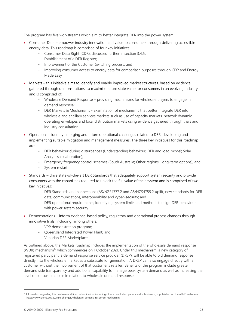The program has five workstreams which aim to better integrate DER into the power system:

- Consumer Data empower industry innovation and value to consumers through delivering accessible energy data. This roadmap is comprised of four key initiatives:
	- Consumer Data Right (CDR), discussed further in section 3.4.5;
	- Establishment of a DER Register;
	- Improvement of the Customer Switching process; and
	- Improving consumer access to energy data for comparison purposes through CDP and Energy Made Easy
- Markets this initiative aims to identify and enable improved market structures, based on evidence gathered through demonstrations, to maximise future state value for consumers in an evolving industry, and is comprised of:
	- Wholesale Demand Response providing mechanisms for wholesale players to engage in demand response;
	- DER Markets & Mechanisms Examination of mechanisms that better integrate DER into wholesale and ancillary services markets such as use of capacity markets, network dynamic operating envelopes and local distribution markets using evidence gathered through trials and industry consultation.
- Operations identify emerging and future operational challenges related to DER, developing and implementing suitable mitigation and management measures. The three key initiatives for this roadmap are:
	- DER behaviour during disturbances (Understanding behaviour; DER and load model; Solar Analytics collaboration);
	- Emergency frequency control schemes (South Australia; Other regions; Long-term options); and
	- System restart.
- Standards drive state-of-the-art DER Standards that adequately support system security and provide consumers with the capabilities required to unlock the full value of their system and is comprised of two key initiatives:
	- DER Standards and connections (AS/NZS4777.2 and AS/NZS4755.2 uplift, new standards for DER data, communications, interoperability and cyber-security; and
	- DER operational requirements; Identifying system limits and methods to align DER behaviour with power system security.
- Demonstrations inform evidence-based policy, regulatory and operational process changes through innovative trials, including, among others:
	- VPP demonstration program;
	- Queensland Integrated Power Plant; and
	- Victorian DER Marketplace.

As outlined above, the Markets roadmap includes the implementation of the wholesale demand response (WDR) mechanism<sup>14</sup> which commences on 1 October 2021. Under this mechanism, a new category of registered participant, a demand response service provider (DRSP), will be able to bid demand response directly into the wholesale market as a substitute for generation. A DRSP can also engage directly with a customer without the involvement of that customer's retailer. Benefits of the program include greater demand side transparency and additional capability to manage peak system demand as well as increasing the level of consumer choice in relation to wholesale demand response.

<sup>14</sup> Information regarding this final rule and final determination, including other consultation papers and submissions, is published on the AEMC website at: https://www.aemc.gov.au/rule-changes/wholesale-demand-response-mechanism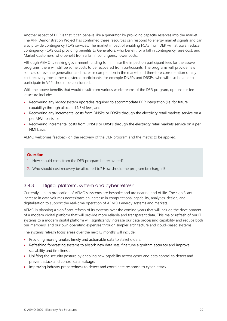Another aspect of DER is that it can behave like a generator by providing capacity reserves into the market. The VPP Demonstration Project has confirmed these resources can respond to energy market signals and can also provide contingency FCAS services. The market impact of enabling FCAS from DER will, at scale, reduce contingency FCAS cost providing benefits to Generators, who benefit for a fall in contingency raise cost, and Market Customers, who benefit from a fall in contingency lower costs.

Although AEMO is seeking government funding to minimise the impact on participant fees for the above programs, there will still be some costs to be recovered from participants. The programs will provide new sources of revenue generation and increase competition in the market and therefore consideration of any cost recovery from other registered participants, for example DNSPs and DRSPs, who will also be able to participate in VPP, should be considered.

With the above benefits that would result from various workstreams of the DER program, options for fee structure include:

- Recovering any legacy system upgrades required to accommodate DER integration (i.e. for future capability) through allocated NEM fees; and
- Recovering any incremental costs from DNSPs or DRSPs through the electricity retail markets service on a per MWh basis; or
- Recovering incremental costs from DNSPs or DRSPs through the electricity retail markets service on a per NMI basis.

AEMO welcomes feedback on the recovery of the DER program and the metric to be applied.

#### **Question**

- 1. How should costs from the DER program be recovered?
- 2. Who should cost recovery be allocated to? How should the program be charged?

## 3.4.3 Digital platform, system and cyber refresh

Currently, a high proportion of AEMO's systems are bespoke and are nearing end of life. The significant increase in data volumes necessitates an increase in computational capability, analytics, design, and digitalisation to support the real-time operation of AEMO's energy systems and markets.

AEMO is planning a significant refresh of its systems over the coming years that will include the development of a modern digital platform that will provide more reliable and transparent data. This major refresh of our IT systems to a modern digital platform will significantly increase our data processing capability and reduce both our members' and our own operating expenses through simpler architecture and cloud-based systems.

The systems refresh focus areas over the next 12 months will include:

- Providing more granular, timely and actionable data to stakeholders.
- Refreshing forecasting systems to absorb new data sets, fine tune algorithm accuracy and improve scalability and timeliness.
- Uplifting the security posture by enabling new capability across cyber and data control to detect and prevent attack and control data leakage.
- Improving industry preparedness to detect and coordinate response to cyber-attack.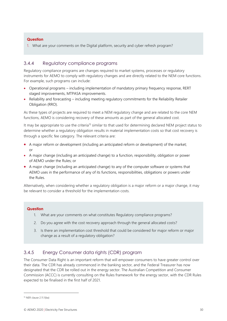## **Question**

1. What are your comments on the Digital platform, security and cyber refresh program?

## 3.4.4 Regulatory compliance programs

Regulatory compliance programs are changes required to market systems, processes or regulatory instruments for AEMO to comply with regulatory changes and are directly related to the NEM core functions. For example, such programs can include:

- Operational programs including implementation of mandatory primary frequency response, RERT staged improvements, MTPASA improvements.
- Reliability and forecasting including meeting regulatory commitments for the Reliability Retailer Obligation (RRO).

As these types of projects are required to meet a NEM regulatory change and are related to the core NEM functions, AEMO is considering recovery of these amounts as part of the general allocated cost.

It may be appropriate to use the criteria<sup>15</sup> similar to that used for determining declared NEM project status to determine whether a regulatory obligation results in material implementation costs so that cost recovery is through a specific fee category. The relevant criteria are:

- A major reform or development (including an anticipated reform or development) of the market; or
- A major change (including an anticipated change) to a function, responsibility, obligation or power of AEMO under the Rules; or
- A major change (including an anticipated change) to any of the computer software or systems that AEMO uses in the performance of any of its functions, responsibilities, obligations or powers under the Rules.

Alternatively, when considering whether a regulatory obligation is a major reform or a major change, it may be relevant to consider a threshold for the implementation costs.

### **Question**

- 1. What are your comments on what constitutes Regulatory compliance programs?
- 2. Do you agree with the cost recovery approach through the general allocated costs?
- 3. Is there an implementation cost threshold that could be considered for major reform or major change as a result of a regulatory obligation?

## 3.4.5 Energy Consumer data rights (CDR) program

The Consumer Data Right is an important reform that will empower consumers to have greater control over their data. The CDR has already commenced in the banking sector, and the Federal Treasurer has now designated that the CDR be rolled out in the energy sector. The Australian Competition and Consumer Commission (ACCC) is currently consulting on the Rules framework for the energy sector, with the CDR Rules expected to be finalised in the first half of 2021.

<sup>15</sup> NER clause 2.11.1(ba)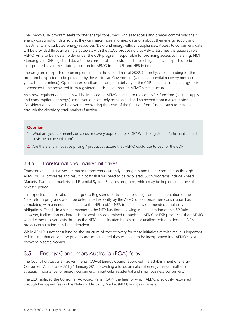The Energy CDR program seeks to offer energy consumers with easy access and greater control over their energy consumption data so that they can make more informed decisions about their energy supply and investments in distributed energy resources (DER) and energy-efficient appliances. Access to consumer's data will be provided through a single gateway, with the ACCC proposing that AEMO assumes the gateway role. AEMO will also be a data holder under the CDR program, responsible for providing access to metering, NMI Standing and DER register data, with the consent of the customer. These obligations are expected to be incorporated as a new statutory function for AEMO in the NEL and NER in time.

The program is expected to be implemented in the second half of 2022. Currently, capital funding for the program is expected to be provided by the Australian Government (with any potential recovery mechanism yet to be determined). Operating expenditure for ongoing delivery of the CDR functions in the energy sector is expected to be recovered from registered participants through AEMO's fee structure.

As a new regulatory obligation will be imposed on AEMO relating to the core NEM functions (i.e. the supply and consumption of energy), costs would most likely be allocated and recovered from market customers. Consideration could also be given to recovering the costs of the function from "users", such as retailers through the electricity retail markets function.

## **Question**

- 1. What are your comments on a cost recovery approach for CDR? Which Registered Participants could costs be recovered from?
- 2. Are there any innovative pricing / product structure that AEMO could use to pay for the CDR?

## 3.4.6 Transformational market initiatives

Transformational initiatives are major reform work currently in progress and under consultation through AEMC or ESB processes and result in costs that will need to be recovered. Such programs include Ahead Markets, Two-sided markets and Essential System Services programs, which may be implemented over the next fee period.

It is expected the allocation of charges to Registered participants resulting from implementation of these NEM reform programs would be determined explicitly by the AEMC or ESB once their consultation has completed, with amendments made to the NEL and/or NER to reflect new or amended regulatory obligations. That is, in a similar manner to the NTP function following implementation of the ISP Rules. However, if allocation of charges is not explicitly determined through the AEMC or ESB processes, then AEMO would either recover costs through the NEM fee (allocated if possible, or unallocated) or a declared NEM project consultation may be undertaken.

While AEMO is not consulting on the structure of cost recovery for these initiatives at this time, it is important to highlight that once these projects are implemented they will need to be incorporated into AEMO's cost recovery in some manner.

## <span id="page-30-0"></span>3.5 Energy Consumers Australia (ECA) fees

The Council of Australian Governments (COAG) Energy Council approved the establishment of Energy Consumers Australia (ECA) by 1 January 2015, providing a focus on national energy market matters of strategic importance for energy consumers, in particular residential and small business consumers.

The ECA replaced the Consumer Advocacy Panel (CAP), the fees for which AEMO previously recovered through Participant fees in the National Electricity Market (NEM) and gas markets.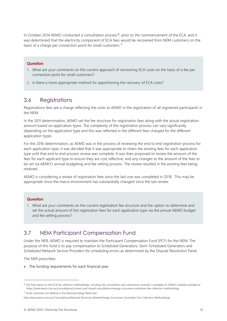In October 2014 AEMO conducted a consultation process<sup>16</sup>, prior to the commencement of the ECA, and it was determined that the electricity component of ECA fees would be recovered from NEM customers on the basis of a charge per connection point for small customers.<sup>17</sup>

### **Question**

- 1. What are your comments on the current approach of recovering ECA costs on the basis of a fee per connection point for small customers?
- 2. Is there a more appropriate method for apportioning the recovery of ECA costs?

## <span id="page-31-0"></span>3.6 Registrations

Registrations fees are a charge reflecting the costs to AEMO in the registration of all registered participants in the NEM.

In the 2011 determination, AEMO set the fee structure for registration fees along with the actual registration amount based on application types. The complexity of the registration process can vary significantly depending on the application type and this was reflected in the different fees charged for the different application types.

For the 2016 determination, as AEMO was in the process of reviewing the end to end registration process for each application type, it was decided that it was appropriate to retain the existing fees for each application type until that end to end process review was complete. It was then proposed to review the amount of the fees for each applicant type to ensure they are cost reflective, and any changes to the amount of the fees to be set via AEMO's annual budgeting and fee setting process. The review resulted in the existing fees being retained.

AEMO is considering a review of registration fees since the last one was completed in 2018. This may be appropriate since the macro environment has substantially changed since the last review.

#### **Question**

1. What are your comments on the current registration fee structure and the option to determine and set the actual amount of the registration fees for each application type via the annual AEMO budget and fee setting process?

## <span id="page-31-1"></span>3.7 NEM Participant Compensation Fund

Under the NER, AEMO is required to maintain the Participant Compensation Fund (PCF) for the NEM. The purpose of this fund is to pay compensation to Scheduled Generators, Semi-Scheduled Generators and Scheduled Network Service Providers for scheduling errors as determined by the Dispute Resolution Panel.

The NER prescribes:

• The funding requirements for each financial year.

<sup>&</sup>lt;sup>16</sup> The final report on the ECA fee collection methodology, including the consultation and submissions received, is available on AEMO's website available at: https://www.aemo.com.au/consultations/current-and-closed-consultations/energy-consumers-australian-fee-collection-methodology

<sup>&</sup>lt;sup>17</sup> Small customers are defined in the National Energy Retail Law.

http://www.aemo.com.au/Consultations/National-Electricity-Market/Energy-Consumers-Australian-Fee-Collection-Methodology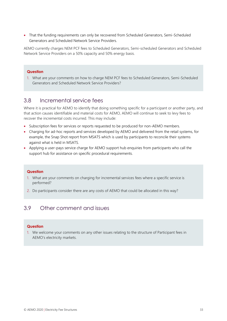• That the funding requirements can only be recovered from Scheduled Generators, Semi-Scheduled Generators and Scheduled Network Service Providers.

AEMO currently charges NEM PCF fees to Scheduled Generators, Semi-scheduled Generators and Scheduled Network Service Providers on a 50% capacity and 50% energy basis.

### **Question**

1. What are your comments on how to charge NEM PCF fees to Scheduled Generators, Semi-Scheduled Generators and Scheduled Network Service Providers?

## <span id="page-32-0"></span>3.8 Incremental service fees

Where it is practical for AEMO to identify that doing something specific for a participant or another party, and that action causes identifiable and material costs for AEMO, AEMO will continue to seek to levy fees to recover the incremental costs incurred. This may include:

- Subscription fees for services or reports requested to be produced for non-AEMO members.
- Charging for ad-hoc reports and services developed by AEMO and delivered from the retail systems, for example, the Snap Shot report from MSATS which is used by participants to reconcile their systems against what is held in MSATS.
- Applying a user-pays service charge for AEMO support hub enquiries from participants who call the support hub for assistance on specific procedural requirements.

#### **Question**

- 1. What are your comments on charging for incremental services fees where a specific service is performed?
- 2. Do participants consider there are any costs of AEMO that could be allocated in this way?

## <span id="page-32-1"></span>3.9 Other comment and issues

#### **Question**

1. We welcome your comments on any other issues relating to the structure of Participant fees in AEMO's electricity markets.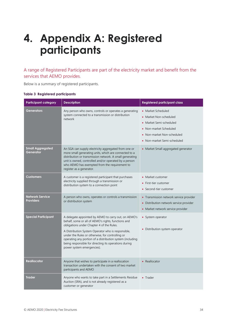## <span id="page-33-0"></span>**4. Appendix A: Registered participants**

A range of Registered Participants are part of the electricity market and benefit from the services that AEMO provides.

Below is a summary of registered participants.

|  |  | <b>Table 3 Registered participants</b> |
|--|--|----------------------------------------|
|--|--|----------------------------------------|

| <b>Participant category</b>                | <b>Description</b>                                                                                                                                                                                                                                                                                                                                                                                                     | <b>Registered participant class</b>                                                                                                                                                           |
|--------------------------------------------|------------------------------------------------------------------------------------------------------------------------------------------------------------------------------------------------------------------------------------------------------------------------------------------------------------------------------------------------------------------------------------------------------------------------|-----------------------------------------------------------------------------------------------------------------------------------------------------------------------------------------------|
| Generators                                 | Any person who owns, controls or operates a generating<br>system connected to a transmission or distribution<br>network                                                                                                                                                                                                                                                                                                | • Market Scheduled<br>Market Non-scheduled<br>$\bullet$<br>Market Semi-scheduled<br>$\bullet$<br>Non-market Scheduled<br>$\bullet$<br>• Non-market Non-scheduled<br>Non-market Semi-scheduled |
| <b>Small Aggregated</b><br>Generator       | An SGA can supply electricity aggregated from one or<br>more small generating units, which are connected to a<br>distribution or transmission network. A small generating<br>unit is owned, controlled and/or operated by a person<br>who AEMO has exempted from the requirement to<br>register as a generator.                                                                                                        | • Market Small aggregated generator                                                                                                                                                           |
| <b>Customers</b>                           | A customer is a registered participant that purchases<br>electricity supplied through a transmission or<br>distribution system to a connection point                                                                                                                                                                                                                                                                   | • Market customer<br>First-tier customer<br>Second-tier customer                                                                                                                              |
| <b>Network Service</b><br><b>Providers</b> | A person who owns, operates or controls a transmission<br>or distribution system                                                                                                                                                                                                                                                                                                                                       | • Transmission network service provider<br>• Distribution network service provider<br>• Market network service provider                                                                       |
| <b>Special Participant</b>                 | A delegate appointed by AEMO to carry out, on AEMO's<br>behalf, some or all of AEMO's rights, functions and<br>obligations under Chapter 4 of the Rules.<br>A Distribution System Operator who is responsible,<br>under the Rules or otherwise, for controlling or<br>operating any portion of a distribution system (including<br>being responsible for directing its operations during<br>power system emergencies). | • System operator<br>• Distribution system operator                                                                                                                                           |
| Reallocator                                | Anyone that wishes to participate in a reallocation<br>transaction undertaken with the consent of two market<br>participants and AEMO                                                                                                                                                                                                                                                                                  | • Reallocator                                                                                                                                                                                 |
| <b>Trader</b>                              | Anyone who wants to take part in a Settlements Residue<br>Auction (SRA), and is not already registered as a<br>customer or generator                                                                                                                                                                                                                                                                                   | • Trader                                                                                                                                                                                      |